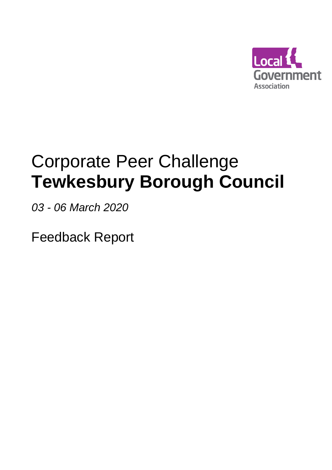

# Corporate Peer Challenge **Tewkesbury Borough Council**

*03 - 06 March 2020* 

Feedback Report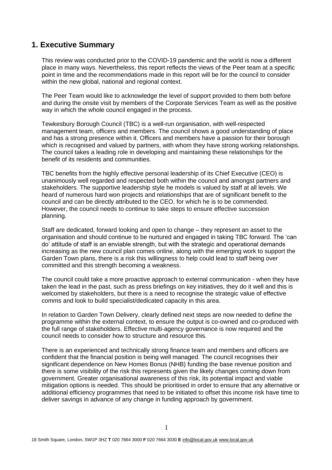# **1. Executive Summary**

This review was conducted prior to the COVID-19 pandemic and the world is now a different place in many ways. Nevertheless, this report reflects the views of the Peer team at a specific point in time and the recommendations made in this report will be for the council to consider within the new global, national and regional context.

The Peer Team would like to acknowledge the level of support provided to them both before and during the onsite visit by members of the Corporate Services Team as well as the positive way in which the whole council engaged in the process.

Tewkesbury Borough Council (TBC) is a well-run organisation, with well-respected management team, officers and members. The council shows a good understanding of place and has a strong presence within it. Officers and members have a passion for their borough which is recognised and valued by partners, with whom they have strong working relationships. The council takes a leading role in developing and maintaining these relationships for the benefit of its residents and communities.

TBC benefits from the highly effective personal leadership of its Chief Executive (CEO) is unanimously well regarded and respected both within the council and amongst partners and stakeholders. The supportive leadership style he models is valued by staff at all levels. We heard of numerous hard won projects and relationships that are of significant benefit to the council and can be directly attributed to the CEO, for which he is to be commended. However, the council needs to continue to take steps to ensure effective succession planning.

Staff are dedicated, forward looking and open to change – they represent an asset to the organisation and should continue to be nurtured and engaged in taking TBC forward. The 'can do' attitude of staff is an enviable strength, but with the strategic and operational demands increasing as the new council plan comes online, along with the emerging work to support the Garden Town plans, there is a risk this willingness to help could lead to staff being over committed and this strength becoming a weakness.

The council could take a more proactive approach to external communication - when they have taken the lead in the past, such as press briefings on key initiatives, they do it well and this is welcomed by stakeholders, but there is a need to recognise the strategic value of effective comms and look to build specialist/dedicated capacity in this area.

In relation to Garden Town Delivery, clearly defined next steps are now needed to define the programme within the external context, to ensure the output is co-owned and co-produced with the full range of stakeholders. Effective multi-agency governance is now required and the council needs to consider how to structure and resource this.

There is an experienced and technically strong finance team and members and officers are confident that the financial position is being well managed. The council recognises their significant dependence on New Homes Bonus (NHB) funding the base revenue position and there is some visibility of the risk this represents given the likely changes coming down from government. Greater organisational awareness of this risk, its potential impact and viable mitigation options is needed. This should be prioritised in order to ensure that any alternative or additional efficiency programmes that need to be initiated to offset this income risk have time to deliver savings in advance of any change in funding approach by government.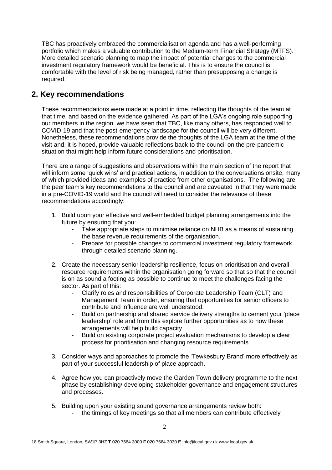TBC has proactively embraced the commercialisation agenda and has a well-performing portfolio which makes a valuable contribution to the Medium-term Financial Strategy (MTFS). More detailed scenario planning to map the impact of potential changes to the commercial investment regulatory framework would be beneficial. This is to ensure the council is comfortable with the level of risk being managed, rather than presupposing a change is required.

# **2. Key recommendations**

These recommendations were made at a point in time, reflecting the thoughts of the team at that time, and based on the evidence gathered. As part of the LGA's ongoing role supporting our members in the region, we have seen that TBC, like many others, has responded well to COVID-19 and that the post-emergency landscape for the council will be very different. Nonetheless, these recommendations provide the thoughts of the LGA team at the time of the visit and, it is hoped, provide valuable reflections back to the council on the pre-pandemic situation that might help inform future considerations and prioritisation.

There are a range of suggestions and observations within the main section of the report that will inform some 'quick wins' and practical actions, in addition to the conversations onsite, many of which provided ideas and examples of practice from other organisations. The following are the peer team's key recommendations to the council and are caveated in that they were made in a pre-COVID-19 world and the council will need to consider the relevance of these recommendations accordingly:

- 1. Build upon your effective and well-embedded budget planning arrangements into the future by ensuring that you:
	- Take appropriate steps to minimise reliance on NHB as a means of sustaining the base revenue requirements of the organisation.
	- Prepare for possible changes to commercial investment regulatory framework through detailed scenario planning.
- 2. Create the necessary senior leadership resilience, focus on prioritisation and overall resource requirements within the organisation going forward so that so that the council is on as sound a footing as possible to continue to meet the challenges facing the sector. As part of this:
	- Clarify roles and responsibilities of Corporate Leadership Team (CLT) and Management Team in order, ensuring that opportunities for senior officers to contribute and influence are well understood;
	- Build on partnership and shared service delivery strengths to cement your 'place leadership' role and from this explore further opportunities as to how these arrangements will help build capacity
	- Build on existing corporate project evaluation mechanisms to develop a clear process for prioritisation and changing resource requirements
- 3. Consider ways and approaches to promote the 'Tewkesbury Brand' more effectively as part of your successful leadership of place approach.
- 4. Agree how you can proactively move the Garden Town delivery programme to the next phase by establishing/ developing stakeholder governance and engagement structures and processes.
- 5. Building upon your existing sound governance arrangements review both:
	- the timings of key meetings so that all members can contribute effectively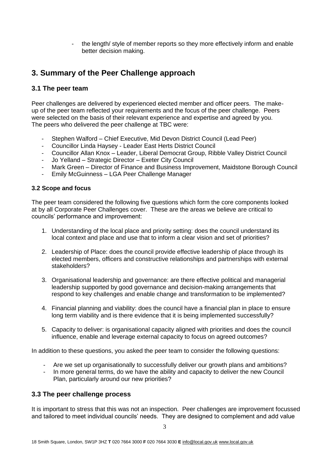- the length/ style of member reports so they more effectively inform and enable better decision making.

# **3. Summary of the Peer Challenge approach**

# **3.1 The peer team**

Peer challenges are delivered by experienced elected member and officer peers. The makeup of the peer team reflected your requirements and the focus of the peer challenge. Peers were selected on the basis of their relevant experience and expertise and agreed by you. The peers who delivered the peer challenge at TBC were:

- Stephen Walford Chief Executive, Mid Devon District Council (Lead Peer)
- Councillor Linda Haysey Leader East Herts District Council
- Councillor Allan Knox Leader, Liberal Democrat Group, Ribble Valley District Council
- Jo Yelland Strategic Director Exeter City Council
- Mark Green Director of Finance and Business Improvement, Maidstone Borough Council
- Emily McGuinness LGA Peer Challenge Manager

## **3.2 Scope and focus**

The peer team considered the following five questions which form the core components looked at by all Corporate Peer Challenges cover. These are the areas we believe are critical to councils' performance and improvement:

- 1. Understanding of the local place and priority setting: does the council understand its local context and place and use that to inform a clear vision and set of priorities?
- 2. Leadership of Place: does the council provide effective leadership of place through its elected members, officers and constructive relationships and partnerships with external stakeholders?
- 3. Organisational leadership and governance: are there effective political and managerial leadership supported by good governance and decision-making arrangements that respond to key challenges and enable change and transformation to be implemented?
- 4. Financial planning and viability: does the council have a financial plan in place to ensure long term viability and is there evidence that it is being implemented successfully?
- 5. Capacity to deliver: is organisational capacity aligned with priorities and does the council influence, enable and leverage external capacity to focus on agreed outcomes?

In addition to these questions, you asked the peer team to consider the following questions:

- Are we set up organisationally to successfully deliver our growth plans and ambitions?
- In more general terms, do we have the ability and capacity to deliver the new Council Plan, particularly around our new priorities?

# **3.3 The peer challenge process**

It is important to stress that this was not an inspection. Peer challenges are improvement focussed and tailored to meet individual councils' needs. They are designed to complement and add value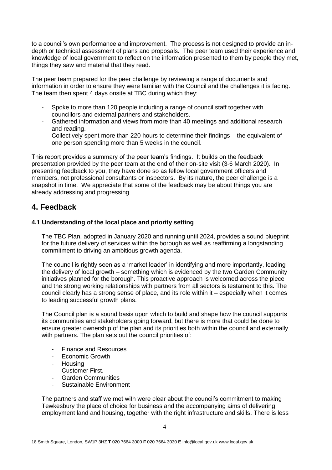to a council's own performance and improvement. The process is not designed to provide an indepth or technical assessment of plans and proposals. The peer team used their experience and knowledge of local government to reflect on the information presented to them by people they met, things they saw and material that they read.

The peer team prepared for the peer challenge by reviewing a range of documents and information in order to ensure they were familiar with the Council and the challenges it is facing. The team then spent 4 days onsite at TBC during which they:

- Spoke to more than 120 people including a range of council staff together with councillors and external partners and stakeholders.
- Gathered information and views from more than 40 meetings and additional research and reading.
- Collectively spent more than 220 hours to determine their findings the equivalent of one person spending more than 5 weeks in the council.

This report provides a summary of the peer team's findings. It builds on the feedback presentation provided by the peer team at the end of their on-site visit (3-6 March 2020). In presenting feedback to you, they have done so as fellow local government officers and members, not professional consultants or inspectors. By its nature, the peer challenge is a snapshot in time. We appreciate that some of the feedback may be about things you are already addressing and progressing

# **4. Feedback**

## **4.1 Understanding of the local place and priority setting**

The TBC Plan, adopted in January 2020 and running until 2024, provides a sound blueprint for the future delivery of services within the borough as well as reaffirming a longstanding commitment to driving an ambitious growth agenda.

The council is rightly seen as a 'market leader' in identifying and more importantly, leading the delivery of local growth – something which is evidenced by the two Garden Community initiatives planned for the borough. This proactive approach is welcomed across the piece and the strong working relationships with partners from all sectors is testament to this. The council clearly has a strong sense of place, and its role within it – especially when it comes to leading successful growth plans.

The Council plan is a sound basis upon which to build and shape how the council supports its communities and stakeholders going forward, but there is more that could be done to ensure greater ownership of the plan and its priorities both within the council and externally with partners. The plan sets out the council priorities of:

- Finance and Resources
- Economic Growth
- Housing
- Customer First.
- Garden Communities
- Sustainable Environment

The partners and staff we met with were clear about the council's commitment to making Tewkesbury the place of choice for business and the accompanying aims of delivering employment land and housing, together with the right infrastructure and skills. There is less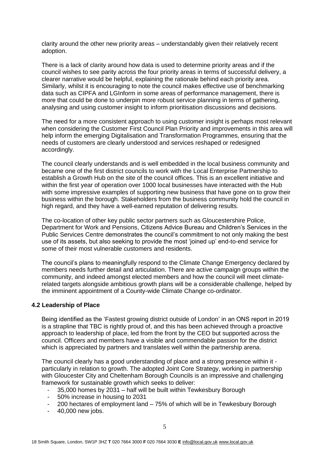clarity around the other new priority areas – understandably given their relatively recent adoption.

There is a lack of clarity around how data is used to determine priority areas and if the council wishes to see parity across the four priority areas in terms of successful delivery, a clearer narrative would be helpful, explaining the rationale behind each priority area. Similarly, whilst it is encouraging to note the council makes effective use of benchmarking data such as CIPFA and LGInform in some areas of performance management, there is more that could be done to underpin more robust service planning in terms of gathering, analysing and using customer insight to inform prioritisation discussions and decisions.

The need for a more consistent approach to using customer insight is perhaps most relevant when considering the Customer First Council Plan Priority and improvements in this area will help inform the emerging Digitalisation and Transformation Programmes, ensuring that the needs of customers are clearly understood and services reshaped or redesigned accordingly.

The council clearly understands and is well embedded in the local business community and became one of the first district councils to work with the Local Enterprise Partnership to establish a Growth Hub on the site of the council offices. This is an excellent initiative and within the first year of operation over 1000 local businesses have interacted with the Hub with some impressive examples of supporting new business that have gone on to grow their business within the borough. Stakeholders from the business community hold the council in high regard, and they have a well-earned reputation of delivering results.

The co-location of other key public sector partners such as Gloucestershire Police, Department for Work and Pensions, Citizens Advice Bureau and Children's Services in the Public Services Centre demonstrates the council's commitment to not only making the best use of its assets, but also seeking to provide the most 'joined up' end-to-end service for some of their most vulnerable customers and residents.

The council's plans to meaningfully respond to the Climate Change Emergency declared by members needs further detail and articulation. There are active campaign groups within the community, and indeed amongst elected members and how the council will meet climaterelated targets alongside ambitious growth plans will be a considerable challenge, helped by the imminent appointment of a County-wide Climate Change co-ordinator.

#### **4.2 Leadership of Place**

Being identified as the 'Fastest growing district outside of London' in an ONS report in 2019 is a strapline that TBC is rightly proud of, and this has been achieved through a proactive approach to leadership of place, led from the front by the CEO but supported across the council. Officers and members have a visible and commendable passion for the district which is appreciated by partners and translates well within the partnership arena.

The council clearly has a good understanding of place and a strong presence within it particularly in relation to growth. The adopted Joint Core Strategy, working in partnership with Gloucester City and Cheltenham Borough Councils is an impressive and challenging framework for sustainable growth which seeks to deliver:

- 35,000 homes by 2031 half will be built within Tewkesbury Borough
- 50% increase in housing to 2031
- 200 hectares of employment land 75% of which will be in Tewkesbury Borough
- 40,000 new jobs.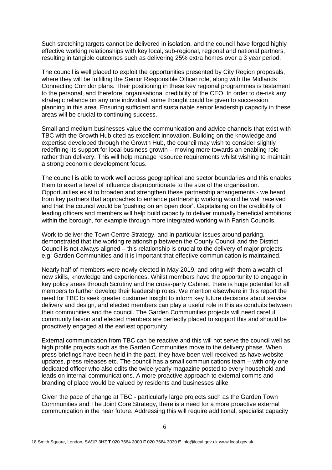Such stretching targets cannot be delivered in isolation, and the council have forged highly effective working relationships with key local, sub-regional, regional and national partners, resulting in tangible outcomes such as delivering 25% extra homes over a 3 year period.

The council is well placed to exploit the opportunities presented by City Region proposals, where they will be fulfilling the Senior Responsible Officer role, along with the Midlands Connecting Corridor plans. Their positioning in these key regional programmes is testament to the personal, and therefore, organisational credibility of the CEO. In order to de-risk any strategic reliance on any one individual, some thought could be given to succession planning in this area. Ensuring sufficient and sustainable senior leadership capacity in these areas will be crucial to continuing success.

Small and medium businesses value the communication and advice channels that exist with TBC with the Growth Hub cited as excellent innovation. Building on the knowledge and expertise developed through the Growth Hub, the council may wish to consider slightly redefining its support for local business growth – moving more towards an enabling role rather than delivery. This will help manage resource requirements whilst wishing to maintain a strong economic development focus.

The council is able to work well across geographical and sector boundaries and this enables them to exert a level of influence disproportionate to the size of the organisation. Opportunities exist to broaden and strengthen these partnership arrangements - we heard from key partners that approaches to enhance partnership working would be well received and that the council would be 'pushing on an open door'. Capitalising on the credibility of leading officers and members will help build capacity to deliver mutually beneficial ambitions within the borough, for example through more integrated working with Parish Councils.

Work to deliver the Town Centre Strategy, and in particular issues around parking, demonstrated that the working relationship between the County Council and the District Council is not always aligned – this relationship is crucial to the delivery of major projects e.g. Garden Communities and it is important that effective communication is maintained.

Nearly half of members were newly elected in May 2019, and bring with them a wealth of new skills, knowledge and experiences. Whilst members have the opportunity to engage in key policy areas through Scrutiny and the cross-party Cabinet, there is huge potential for all members to further develop their leadership roles. We mention elsewhere in this report the need for TBC to seek greater customer insight to inform key future decisions about service delivery and design, and elected members can play a useful role in this as conduits between their communities and the council. The Garden Communities projects will need careful community liaison and elected members are perfectly placed to support this and should be proactively engaged at the earliest opportunity.

External communication from TBC can be reactive and this will not serve the council well as high profile projects such as the Garden Communities move to the delivery phase. When press briefings have been held in the past, they have been well received as have website updates, press releases etc. The council has a small communications team – with only one dedicated officer who also edits the twice-yearly magazine posted to every household and leads on internal communications. A more proactive approach to external comms and branding of place would be valued by residents and businesses alike.

Given the pace of change at TBC - particularly large projects such as the Garden Town Communities and The Joint Core Strategy, there is a need for a more proactive external communication in the near future. Addressing this will require additional, specialist capacity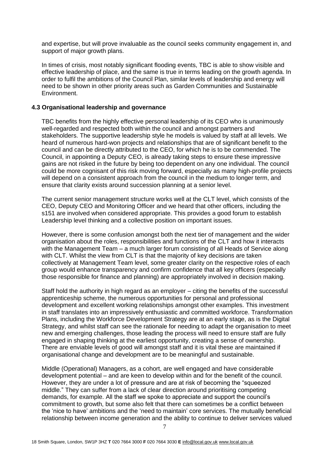and expertise, but will prove invaluable as the council seeks community engagement in, and support of major growth plans.

In times of crisis, most notably significant flooding events, TBC is able to show visible and effective leadership of place, and the same is true in terms leading on the growth agenda. In order to fulfil the ambitions of the Council Plan, similar levels of leadership and energy will need to be shown in other priority areas such as Garden Communities and Sustainable Environment.

#### **4.3 Organisational leadership and governance**

TBC benefits from the highly effective personal leadership of its CEO who is unanimously well-regarded and respected both within the council and amongst partners and stakeholders. The supportive leadership style he models is valued by staff at all levels. We heard of numerous hard-won projects and relationships that are of significant benefit to the council and can be directly attributed to the CEO, for which he is to be commended. The Council, in appointing a Deputy CEO, is already taking steps to ensure these impressive gains are not risked in the future by being too dependent on any one individual. The council could be more cognisant of this risk moving forward, especially as many high-profile projects will depend on a consistent approach from the council in the medium to longer term, and ensure that clarity exists around succession planning at a senior level.

The current senior management structure works well at the CLT level, which consists of the CEO, Deputy CEO and Monitoring Officer and we heard that other officers, including the s151 are involved when considered appropriate. This provides a good forum to establish Leadership level thinking and a collective position on important issues.

However, there is some confusion amongst both the next tier of management and the wider organisation about the roles, responsibilities and functions of the CLT and how it interacts with the Management Team – a much larger forum consisting of all Heads of Service along with CLT. Whilst the view from CLT is that the majority of key decisions are taken collectively at Management Team level, some greater clarity on the respective roles of each group would enhance transparency and confirm confidence that all key officers (especially those responsible for finance and planning) are appropriately involved in decision making.

Staff hold the authority in high regard as an employer – citing the benefits of the successful apprenticeship scheme, the numerous opportunities for personal and professional development and excellent working relationships amongst other examples. This investment in staff translates into an impressively enthusiastic and committed workforce. Transformation Plans, including the Workforce Development Strategy are at an early stage, as is the Digital Strategy, and whilst staff can see the rationale for needing to adapt the organisation to meet new and emerging challenges, those leading the process will need to ensure staff are fully engaged in shaping thinking at the earliest opportunity, creating a sense of ownership. There are enviable levels of good will amongst staff and it is vital these are maintained if organisational change and development are to be meaningful and sustainable.

Middle (Operational) Managers, as a cohort, are well engaged and have considerable development potential – and are keen to develop within and for the benefit of the council. However, they are under a lot of pressure and are at risk of becoming the "squeezed middle." They can suffer from a lack of clear direction around prioritising competing demands, for example. All the staff we spoke to appreciate and support the council's commitment to growth, but some also felt that there can sometimes be a conflict between the 'nice to have' ambitions and the 'need to maintain' core services. The mutually beneficial relationship between income generation and the ability to continue to deliver services valued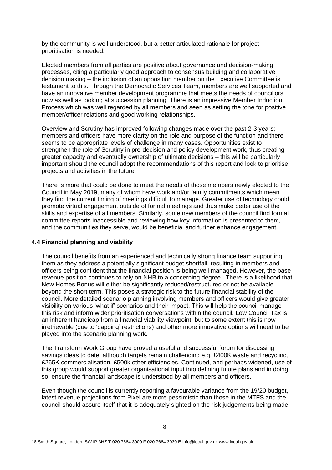by the community is well understood, but a better articulated rationale for project prioritisation is needed.

Elected members from all parties are positive about governance and decision-making processes, citing a particularly good approach to consensus building and collaborative decision making – the inclusion of an opposition member on the Executive Committee is testament to this. Through the Democratic Services Team, members are well supported and have an innovative member development programme that meets the needs of councillors now as well as looking at succession planning. There is an impressive Member Induction Process which was well regarded by all members and seen as setting the tone for positive member/officer relations and good working relationships.

Overview and Scrutiny has improved following changes made over the past 2-3 years; members and officers have more clarity on the role and purpose of the function and there seems to be appropriate levels of challenge in many cases. Opportunities exist to strengthen the role of Scrutiny in pre-decision and policy development work, thus creating greater capacity and eventually ownership of ultimate decisions – this will be particularly important should the council adopt the recommendations of this report and look to prioritise projects and activities in the future.

There is more that could be done to meet the needs of those members newly elected to the Council in May 2019, many of whom have work and/or family commitments which mean they find the current timing of meetings difficult to manage. Greater use of technology could promote virtual engagement outside of formal meetings and thus make better use of the skills and expertise of all members. Similarly, some new members of the council find formal committee reports inaccessible and reviewing how key information is presented to them, and the communities they serve, would be beneficial and further enhance engagement.

#### **4.4 Financial planning and viability**

The council benefits from an experienced and technically strong finance team supporting them as they address a potentially significant budget shortfall, resulting in members and officers being confident that the financial position is being well managed. However, the base revenue position continues to rely on NHB to a concerning degree. There is a likelihood that New Homes Bonus will either be significantly reduced/restructured or not be available beyond the short term. This poses a strategic risk to the future financial stability of the council. More detailed scenario planning involving members and officers would give greater visibility on various 'what if' scenarios and their impact. This will help the council manage this risk and inform wider prioritisation conversations within the council. Low Council Tax is an inherent handicap from a financial viability viewpoint, but to some extent this is now irretrievable (due to 'capping' restrictions) and other more innovative options will need to be played into the scenario planning work.

The Transform Work Group have proved a useful and successful forum for discussing savings ideas to date, although targets remain challenging e.g. £400K waste and recycling, £265K commercialisation, £500k other efficiencies. Continued, and perhaps widened, use of this group would support greater organisational input into defining future plans and in doing so, ensure the financial landscape is understood by all members and officers.

Even though the council is currently reporting a favourable variance from the 19/20 budget, latest revenue projections from Pixel are more pessimistic than those in the MTFS and the council should assure itself that it is adequately sighted on the risk judgements being made.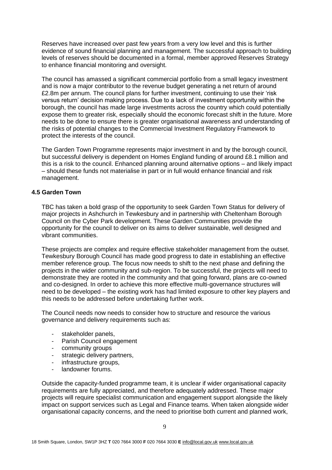Reserves have increased over past few years from a very low level and this is further evidence of sound financial planning and management. The successful approach to building levels of reserves should be documented in a formal, member approved Reserves Strategy to enhance financial monitoring and oversight.

The council has amassed a significant commercial portfolio from a small legacy investment and is now a major contributor to the revenue budget generating a net return of around £2.8m per annum. The council plans for further investment, continuing to use their 'risk versus return' decision making process. Due to a lack of investment opportunity within the borough, the council has made large investments across the country which could potentially expose them to greater risk, especially should the economic forecast shift in the future. More needs to be done to ensure there is greater organisational awareness and understanding of the risks of potential changes to the Commercial Investment Regulatory Framework to protect the interests of the council.

The Garden Town Programme represents major investment in and by the borough council, but successful delivery is dependent on Homes England funding of around £8.1 million and this is a risk to the council. Enhanced planning around alternative options – and likely impact – should these funds not materialise in part or in full would enhance financial and risk management.

## **4.5 Garden Town**

TBC has taken a bold grasp of the opportunity to seek Garden Town Status for delivery of major projects in Ashchurch in Tewkesbury and in partnership with Cheltenham Borough Council on the Cyber Park development. These Garden Communities provide the opportunity for the council to deliver on its aims to deliver sustainable, well designed and vibrant communities.

These projects are complex and require effective stakeholder management from the outset. Tewkesbury Borough Council has made good progress to date in establishing an effective member reference group. The focus now needs to shift to the next phase and defining the projects in the wider community and sub-region. To be successful, the projects will need to demonstrate they are rooted in the community and that going forward, plans are co-owned and co-designed. In order to achieve this more effective multi-governance structures will need to be developed – the existing work has had limited exposure to other key players and this needs to be addressed before undertaking further work.

The Council needs now needs to consider how to structure and resource the various governance and delivery requirements such as:

- stakeholder panels,
- Parish Council engagement
- community groups
- strategic delivery partners,
- infrastructure groups,
- landowner forums.

Outside the capacity-funded programme team, it is unclear if wider organisational capacity requirements are fully appreciated, and therefore adequately addressed. These major projects will require specialist communication and engagement support alongside the likely impact on support services such as Legal and Finance teams. When taken alongside wider organisational capacity concerns, and the need to prioritise both current and planned work,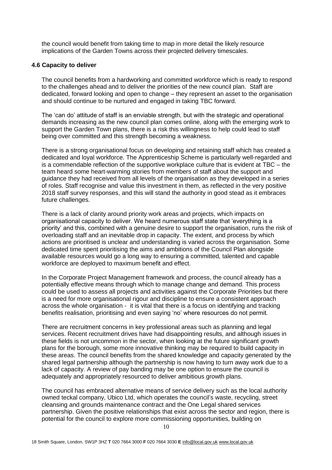the council would benefit from taking time to map in more detail the likely resource implications of the Garden Towns across their projected delivery timescales.

#### **4.6 Capacity to deliver**

The council benefits from a hardworking and committed workforce which is ready to respond to the challenges ahead and to deliver the priorities of the new council plan. Staff are dedicated, forward looking and open to change – they represent an asset to the organisation and should continue to be nurtured and engaged in taking TBC forward.

The 'can do' attitude of staff is an enviable strength, but with the strategic and operational demands increasing as the new council plan comes online, along with the emerging work to support the Garden Town plans, there is a risk this willingness to help could lead to staff being over committed and this strength becoming a weakness.

There is a strong organisational focus on developing and retaining staff which has created a dedicated and loyal workforce. The Apprenticeship Scheme is particularly well-regarded and is a commendable reflection of the supportive workplace culture that is evident at TBC – the team heard some heart-warming stories from members of staff about the support and guidance they had received from all levels of the organisation as they developed in a series of roles. Staff recognise and value this investment in them, as reflected in the very positive 2018 staff survey responses, and this will stand the authority in good stead as it embraces future challenges.

There is a lack of clarity around priority work areas and projects, which impacts on organisational capacity to deliver. We heard numerous staff state that 'everything is a priority' and this, combined with a genuine desire to support the organisation, runs the risk of overloading staff and an inevitable drop in capacity. The extent, and process by which actions are prioritised is unclear and understanding is varied across the organisation. Some dedicated time spent prioritising the aims and ambitions of the Council Plan alongside available resources would go a long way to ensuring a committed, talented and capable workforce are deployed to maximum benefit and effect.

In the Corporate Project Management framework and process, the council already has a potentially effective means through which to manage change and demand. This process could be used to assess all projects and activities against the Corporate Priorities but there is a need for more organisational rigour and discipline to ensure a consistent approach across the whole organisation - it is vital that there is a focus on identifying and tracking benefits realisation, prioritising and even saying 'no' where resources do not permit.

There are recruitment concerns in key professional areas such as planning and legal services. Recent recruitment drives have had disappointing results, and although issues in these fields is not uncommon in the sector, when looking at the future significant growth plans for the borough, some more innovative thinking may be required to build capacity in these areas. The council benefits from the shared knowledge and capacity generated by the shared legal partnership although the partnership is now having to turn away work due to a lack of capacity. A review of pay banding may be one option to ensure the council is adequately and appropriately resourced to deliver ambitious growth plans.

The council has embraced alternative means of service delivery such as the local authority owned teckal company, Ubico Ltd, which operates the council's waste, recycling, street cleansing and grounds maintenance contract and the One Legal shared services partnership. Given the positive relationships that exist across the sector and region, there is potential for the council to explore more commissioning opportunities, building on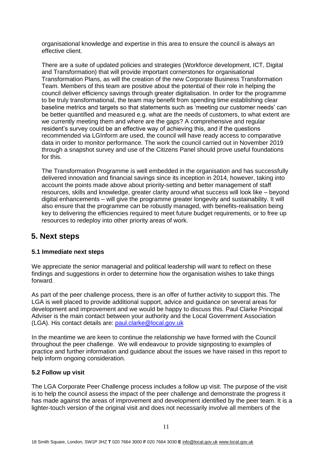organisational knowledge and expertise in this area to ensure the council is always an effective client.

There are a suite of updated policies and strategies (Workforce development, ICT, Digital and Transformation) that will provide important cornerstones for organisational Transformation Plans, as will the creation of the new Corporate Business Transformation Team. Members of this team are positive about the potential of their role in helping the council deliver efficiency savings through greater digitalisation. In order for the programme to be truly transformational, the team may benefit from spending time establishing clear baseline metrics and targets so that statements such as 'meeting our customer needs' can be better quantified and measured e.g. what are the needs of customers, to what extent are we currently meeting them and where are the gaps? A comprehensive and regular resident's survey could be an effective way of achieving this, and if the questions recommended via LGInform are used, the council will have ready access to comparative data in order to monitor performance. The work the council carried out in November 2019 through a snapshot survey and use of the Citizens Panel should prove useful foundations for this.

The Transformation Programme is well embedded in the organisation and has successfully delivered innovation and financial savings since its inception in 2014, however, taking into account the points made above about priority-setting and better management of staff resources, skills and knowledge, greater clarity around what success will look like – beyond digital enhancements – will give the programme greater longevity and sustainability. It will also ensure that the programme can be robustly managed, with benefits-realisation being key to delivering the efficiencies required to meet future budget requirements, or to free up resources to redeploy into other priority areas of work.

# **5. Next steps**

## **5.1 Immediate next steps**

We appreciate the senior managerial and political leadership will want to reflect on these findings and suggestions in order to determine how the organisation wishes to take things forward.

As part of the peer challenge process, there is an offer of further activity to support this. The LGA is well placed to provide additional support, advice and guidance on several areas for development and improvement and we would be happy to discuss this. Paul Clarke Principal Adviser is the main contact between your authority and the Local Government Association (LGA). His contact details are: [paul.clarke@local.gov.uk](mailto:andy.bates@local.gov.uk)

In the meantime we are keen to continue the relationship we have formed with the Council throughout the peer challenge. We will endeavour to provide signposting to examples of practice and further information and guidance about the issues we have raised in this report to help inform ongoing consideration.

## **5.2 Follow up visit**

The LGA Corporate Peer Challenge process includes a follow up visit. The purpose of the visit is to help the council assess the impact of the peer challenge and demonstrate the progress it has made against the areas of improvement and development identified by the peer team. It is a lighter-touch version of the original visit and does not necessarily involve all members of the